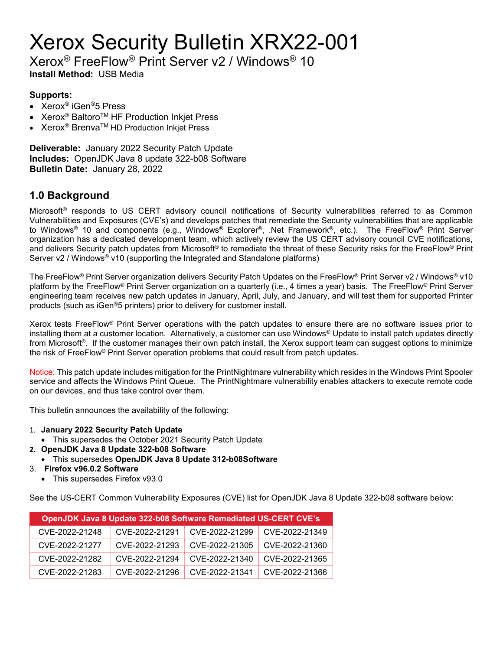# Xerox Security Bulletin XRX22-001

Xerox® FreeFlow® Print Server v2 / Windows® 10

Install Method: USB Media

### Supports:

- Xerox® iGen®5 Press
- Xerox<sup>®</sup> Baltoro<sup>™</sup> HF Production Inkjet Press
- Xerox<sup>®</sup> Brenva<sup>™</sup> HD Production Inkjet Press

Deliverable: January 2022 Security Patch Update Includes: OpenJDK Java 8 update 322-b08 Software Bulletin Date: January 28, 2022

## 1.0 Background

Microsoft® responds to US CERT advisory council notifications of Security vulnerabilities referred to as Common Vulnerabilities and Exposures (CVE's) and develops patches that remediate the Security vulnerabilities that are applicable to Windows® 10 and components (e.g., Windows® Explorer®, .Net Framework®, etc.). The FreeFlow® Print Server organization has a dedicated development team, which actively review the US CERT advisory council CVE notifications, and delivers Security patch updates from Microsoft<sup>®</sup> to remediate the threat of these Security risks for the FreeFlow<sup>®</sup> Print Server  $v2$  / Windows<sup>®</sup> v10 (supporting the Integrated and Standalone platforms)

The FreeFlow® Print Server organization delivers Security Patch Updates on the FreeFlow® Print Server v2 / Windows® v10 platform by the FreeFlow<sup>®</sup> Print Server organization on a quarterly (i.e., 4 times a year) basis. The FreeFlow<sup>®</sup> Print Server engineering team receives new patch updates in January, April, July, and January, and will test them for supported Printer products (such as iGen®5 printers) prior to delivery for customer install.

Xerox tests FreeFlow® Print Server operations with the patch updates to ensure there are no software issues prior to installing them at a customer location. Alternatively, a customer can use Windows® Update to install patch updates directly from Microsoft®. If the customer manages their own patch install, the Xerox support team can suggest options to minimize the risk of FreeFlow® Print Server operation problems that could result from patch updates.

Notice: This patch update includes mitigation for the PrintNightmare vulnerability which resides in the Windows Print Spooler service and affects the Windows Print Queue. The PrintNightmare vulnerability enables attackers to execute remote code on our devices, and thus take control over them.

This bulletin announces the availability of the following:

- 1. January 2022 Security Patch Update
	- This supersedes the October 2021 Security Patch Update
- 2. OpenJDK Java 8 Update 322-b08 Software
	- This supersedes OpenJDK Java 8 Update 312-b08Software
- 3. Firefox v96.0.2 Software
	- This supersedes Firefox v93.0

See the US-CERT Common Vulnerability Exposures (CVE) list for OpenJDK Java 8 Update 322-b08 software below:

| <b>OpenJDK Java 8 Update 322-b08 Software Remediated US-CERT CVE's</b> |                |                |                |  |
|------------------------------------------------------------------------|----------------|----------------|----------------|--|
| CVE-2022-21248                                                         | CVE-2022-21291 | CVE-2022-21299 | CVE-2022-21349 |  |
| CVE-2022-21277                                                         | CVE-2022-21293 | CVE-2022-21305 | CVE-2022-21360 |  |
| CVE-2022-21282                                                         | CVE-2022-21294 | CVE-2022-21340 | CVE-2022-21365 |  |
| CVE-2022-21283                                                         | CVE-2022-21296 | CVE-2022-21341 | CVE-2022-21366 |  |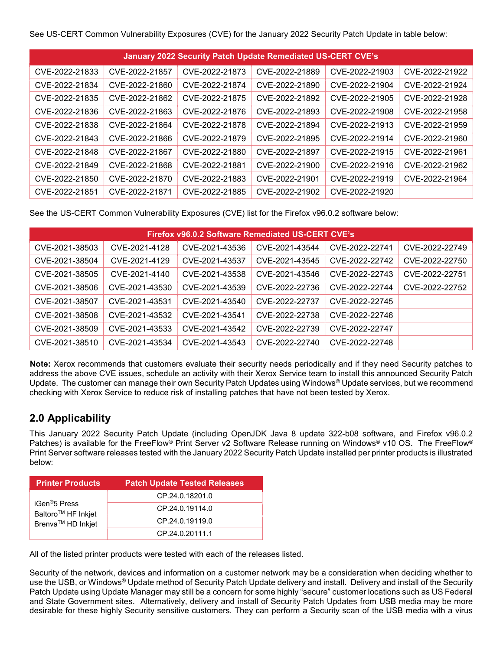See US-CERT Common Vulnerability Exposures (CVE) for the January 2022 Security Patch Update in table below:

| <b>January 2022 Security Patch Update Remediated US-CERT CVE's</b> |                |                |                |                |                |
|--------------------------------------------------------------------|----------------|----------------|----------------|----------------|----------------|
| CVE-2022-21833                                                     | CVE-2022-21857 | CVE-2022-21873 | CVE-2022-21889 | CVE-2022-21903 | CVE-2022-21922 |
| CVE-2022-21834                                                     | CVE-2022-21860 | CVE-2022-21874 | CVE-2022-21890 | CVE-2022-21904 | CVE-2022-21924 |
| CVE-2022-21835                                                     | CVE-2022-21862 | CVE-2022-21875 | CVE-2022-21892 | CVE-2022-21905 | CVE-2022-21928 |
| CVE-2022-21836                                                     | CVE-2022-21863 | CVE-2022-21876 | CVE-2022-21893 | CVE-2022-21908 | CVE-2022-21958 |
| CVE-2022-21838                                                     | CVE-2022-21864 | CVE-2022-21878 | CVE-2022-21894 | CVE-2022-21913 | CVE-2022-21959 |
| CVE-2022-21843                                                     | CVE-2022-21866 | CVE-2022-21879 | CVE-2022-21895 | CVE-2022-21914 | CVE-2022-21960 |
| CVE-2022-21848                                                     | CVE-2022-21867 | CVE-2022-21880 | CVE-2022-21897 | CVE-2022-21915 | CVE-2022-21961 |
| CVE-2022-21849                                                     | CVE-2022-21868 | CVE-2022-21881 | CVE-2022-21900 | CVE-2022-21916 | CVE-2022-21962 |
| CVE-2022-21850                                                     | CVE-2022-21870 | CVE-2022-21883 | CVE-2022-21901 | CVE-2022-21919 | CVE-2022-21964 |
| CVE-2022-21851                                                     | CVE-2022-21871 | CVE-2022-21885 | CVE-2022-21902 | CVE-2022-21920 |                |

See the US-CERT Common Vulnerability Exposures (CVE) list for the Firefox v96.0.2 software below:

| <b>Firefox v96.0.2 Software Remediated US-CERT CVE's</b> |                |                |                |                |                |
|----------------------------------------------------------|----------------|----------------|----------------|----------------|----------------|
| CVE-2021-38503                                           | CVE-2021-4128  | CVE-2021-43536 | CVE-2021-43544 | CVE-2022-22741 | CVE-2022-22749 |
| CVE-2021-38504                                           | CVE-2021-4129  | CVE-2021-43537 | CVE-2021-43545 | CVF-2022-22742 | CVE-2022-22750 |
| CVE-2021-38505                                           | CVE-2021-4140  | CVE-2021-43538 | CVE-2021-43546 | CVE-2022-22743 | CVE-2022-22751 |
| CVE-2021-38506                                           | CVE-2021-43530 | CVE-2021-43539 | CVE-2022-22736 | CVF-2022-22744 | CVE-2022-22752 |
| CVE-2021-38507                                           | CVE-2021-43531 | CVE-2021-43540 | CVE-2022-22737 | CVE-2022-22745 |                |
| CVE-2021-38508                                           | CVE-2021-43532 | CVE-2021-43541 | CVE-2022-22738 | CVE-2022-22746 |                |
| CVE-2021-38509                                           | CVE-2021-43533 | CVE-2021-43542 | CVE-2022-22739 | CVE-2022-22747 |                |
| CVE-2021-38510                                           | CVE-2021-43534 | CVE-2021-43543 | CVE-2022-22740 | CVE-2022-22748 |                |

Note: Xerox recommends that customers evaluate their security needs periodically and if they need Security patches to address the above CVE issues, schedule an activity with their Xerox Service team to install this announced Security Patch Update. The customer can manage their own Security Patch Updates using Windows® Update services, but we recommend checking with Xerox Service to reduce risk of installing patches that have not been tested by Xerox.

# 2.0 Applicability

This January 2022 Security Patch Update (including OpenJDK Java 8 update 322-b08 software, and Firefox v96.0.2 Patches) is available for the FreeFlow® Print Server v2 Software Release running on Windows® v10 OS. The FreeFlow® Print Server software releases tested with the January 2022 Security Patch Update installed per printer products is illustrated below:

| <b>Printer Products</b>                                                                      | <b>Patch Update Tested Releases</b> |
|----------------------------------------------------------------------------------------------|-------------------------------------|
| iGen <sup>®</sup> 5 Press<br>Baltoro <sup>™</sup> HF Inkjet<br>Brenva <sup>™</sup> HD Inkjet | CP.24.0.18201.0                     |
|                                                                                              | CP.24.0.19114.0                     |
|                                                                                              | CP.24.0.19119.0                     |
|                                                                                              | CP.24.0.20111.1                     |

All of the listed printer products were tested with each of the releases listed.

Security of the network, devices and information on a customer network may be a consideration when deciding whether to use the USB, or Windows® Update method of Security Patch Update delivery and install. Delivery and install of the Security Patch Update using Update Manager may still be a concern for some highly "secure" customer locations such as US Federal and State Government sites. Alternatively, delivery and install of Security Patch Updates from USB media may be more desirable for these highly Security sensitive customers. They can perform a Security scan of the USB media with a virus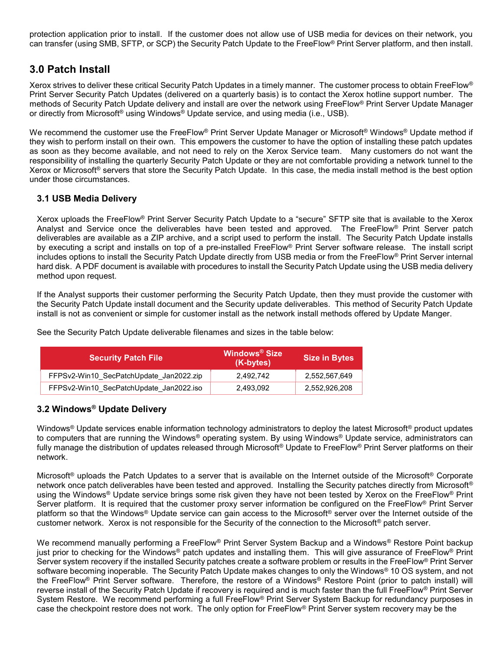protection application prior to install. If the customer does not allow use of USB media for devices on their network, you can transfer (using SMB, SFTP, or SCP) the Security Patch Update to the FreeFlow® Print Server platform, and then install.

## 3.0 Patch Install

Xerox strives to deliver these critical Security Patch Updates in a timely manner. The customer process to obtain FreeFlow® Print Server Security Patch Updates (delivered on a quarterly basis) is to contact the Xerox hotline support number. The methods of Security Patch Update delivery and install are over the network using FreeFlow® Print Server Update Manager or directly from Microsoft<sup>®</sup> using Windows<sup>®</sup> Update service, and using media (i.e., USB).

We recommend the customer use the FreeFlow® Print Server Update Manager or Microsoft® Windows® Update method if they wish to perform install on their own. This empowers the customer to have the option of installing these patch updates as soon as they become available, and not need to rely on the Xerox Service team. Many customers do not want the responsibility of installing the quarterly Security Patch Update or they are not comfortable providing a network tunnel to the Xerox or Microsoft® servers that store the Security Patch Update. In this case, the media install method is the best option under those circumstances.

#### 3.1 USB Media Delivery

Xerox uploads the FreeFlow® Print Server Security Patch Update to a "secure" SFTP site that is available to the Xerox Analyst and Service once the deliverables have been tested and approved. The FreeFlow® Print Server patch deliverables are available as a ZIP archive, and a script used to perform the install. The Security Patch Update installs by executing a script and installs on top of a pre-installed FreeFlow® Print Server software release. The install script includes options to install the Security Patch Update directly from USB media or from the FreeFlow® Print Server internal hard disk. A PDF document is available with procedures to install the Security Patch Update using the USB media delivery method upon request.

If the Analyst supports their customer performing the Security Patch Update, then they must provide the customer with the Security Patch Update install document and the Security update deliverables. This method of Security Patch Update install is not as convenient or simple for customer install as the network install methods offered by Update Manger.

| <b>Security Patch File</b>              | <b>Windows<sup>®</sup> Size</b><br>(K-bytes) | <b>Size in Bytes</b> |
|-----------------------------------------|----------------------------------------------|----------------------|
| FFPSv2-Win10 SecPatchUpdate Jan2022.zip | 2.492.742                                    | 2.552.567.649        |
| FFPSv2-Win10 SecPatchUpdate Jan2022.iso | 2.493.092                                    | 2.552.926.208        |

See the Security Patch Update deliverable filenames and sizes in the table below:

#### 3.2 Windows® Update Delivery

Windows<sup>®</sup> Update services enable information technology administrators to deploy the latest Microsoft<sup>®</sup> product updates to computers that are running the Windows<sup>®</sup> operating system. By using Windows® Update service, administrators can fully manage the distribution of updates released through Microsoft® Update to FreeFlow® Print Server platforms on their network.

Microsoft<sup>®</sup> uploads the Patch Updates to a server that is available on the Internet outside of the Microsoft<sup>®</sup> Corporate network once patch deliverables have been tested and approved. Installing the Security patches directly from Microsoft® using the Windows® Update service brings some risk given they have not been tested by Xerox on the FreeFlow® Print Server platform. It is required that the customer proxy server information be configured on the FreeFlow® Print Server platform so that the Windows® Update service can gain access to the Microsoft® server over the Internet outside of the customer network. Xerox is not responsible for the Security of the connection to the Microsoft® patch server.

We recommend manually performing a FreeFlow® Print Server System Backup and a Windows® Restore Point backup just prior to checking for the Windows® patch updates and installing them. This will give assurance of FreeFlow® Print Server system recovery if the installed Security patches create a software problem or results in the FreeFlow® Print Server software becoming inoperable. The Security Patch Update makes changes to only the Windows® 10 OS system, and not the FreeFlow® Print Server software. Therefore, the restore of a Windows® Restore Point (prior to patch install) will reverse install of the Security Patch Update if recovery is required and is much faster than the full FreeFlow® Print Server System Restore. We recommend performing a full FreeFlow® Print Server System Backup for redundancy purposes in case the checkpoint restore does not work. The only option for FreeFlow® Print Server system recovery may be the